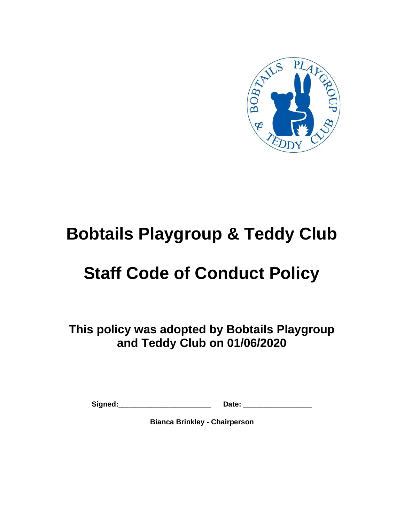

# **Bobtails Playgroup & Teddy Club**

# **Staff Code of Conduct Policy**

**This policy was adopted by Bobtails Playgroup and Teddy Club on 01/06/2020**

Signed: **Contained:** Date:

**Bianca Brinkley - Chairperson**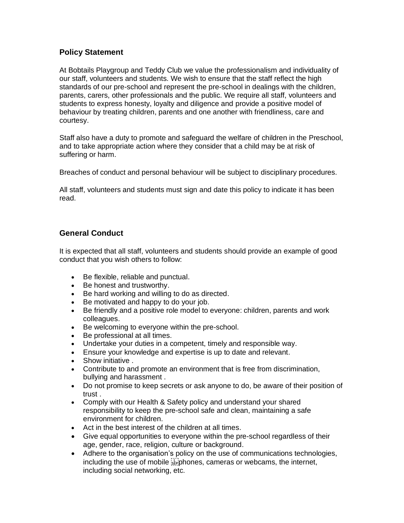#### **Policy Statement**

At Bobtails Playgroup and Teddy Club we value the professionalism and individuality of our staff, volunteers and students. We wish to ensure that the staff reflect the high standards of our pre-school and represent the pre-school in dealings with the children, parents, carers, other professionals and the public. We require all staff, volunteers and students to express honesty, loyalty and diligence and provide a positive model of behaviour by treating children, parents and one another with friendliness, care and courtesy.

Staff also have a duty to promote and safeguard the welfare of children in the Preschool, and to take appropriate action where they consider that a child may be at risk of suffering or harm.

Breaches of conduct and personal behaviour will be subject to disciplinary procedures.

All staff, volunteers and students must sign and date this policy to indicate it has been read.

### **General Conduct**

It is expected that all staff, volunteers and students should provide an example of good conduct that you wish others to follow:

- Be flexible, reliable and punctual.
- Be honest and trustworthy.
- Be hard working and willing to do as directed.
- Be motivated and happy to do your job.
- Be friendly and a positive role model to everyone: children, parents and work colleagues.
- Be welcoming to everyone within the pre-school.
- Be professional at all times.
- Undertake your duties in a competent, timely and responsible way.
- Ensure your knowledge and expertise is up to date and relevant.
- Show initiative .
- Contribute to and promote an environment that is free from discrimination, bullying and harassment .
- Do not promise to keep secrets or ask anyone to do, be aware of their position of trust .
- Comply with our Health & Safety policy and understand your shared responsibility to keep the pre-school safe and clean, maintaining a safe environment for children.
- Act in the best interest of the children at all times.
- Give equal opportunities to everyone within the pre-school regardless of their age, gender, race, religion, culture or background.
- Adhere to the organisation's policy on the use of communications technologies, including the use of mobile  $\sum_{s \in \mathcal{S}}$  phones, cameras or webcams, the internet, including social networking, etc.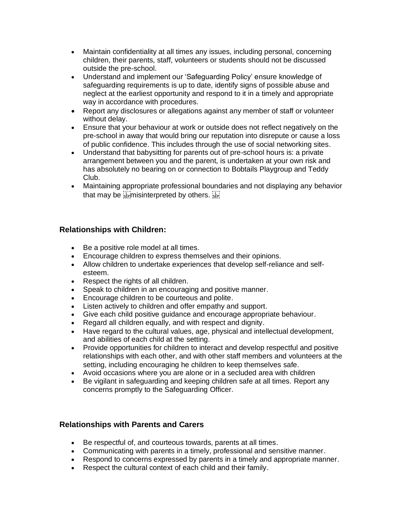- Maintain confidentiality at all times any issues, including personal, concerning children, their parents, staff, volunteers or students should not be discussed outside the pre-school.
- Understand and implement our 'Safeguarding Policy' ensure knowledge of safeguarding requirements is up to date, identify signs of possible abuse and neglect at the earliest opportunity and respond to it in a timely and appropriate way in accordance with procedures.
- Report any disclosures or allegations against any member of staff or volunteer without delay.
- Ensure that your behaviour at work or outside does not reflect negatively on the pre-school in away that would bring our reputation into disrepute or cause a loss of public confidence. This includes through the use of social networking sites.
- Understand that babysitting for parents out of pre-school hours is: a private arrangement between you and the parent, is undertaken at your own risk and has absolutely no bearing on or connection to Bobtails Playgroup and Teddy Club.
- Maintaining appropriate professional boundaries and not displaying any behavior that may be  $\sum_{s \in p}$  misinterpreted by others.  $\sum_{s \in p}$

### **Relationships with Children:**

- Be a positive role model at all times.
- Encourage children to express themselves and their opinions.
- Allow children to undertake experiences that develop self-reliance and selfesteem.
- Respect the rights of all children.
- Speak to children in an encouraging and positive manner.
- Encourage children to be courteous and polite.
- Listen actively to children and offer empathy and support.
- Give each child positive guidance and encourage appropriate behaviour.
- Regard all children equally, and with respect and dignity.
- Have regard to the cultural values, age, physical and intellectual development, and abilities of each child at the setting.
- Provide opportunities for children to interact and develop respectful and positive relationships with each other, and with other staff members and volunteers at the setting, including encouraging he children to keep themselves safe.
- Avoid occasions where you are alone or in a secluded area with children
- Be vigilant in safeguarding and keeping children safe at all times. Report any concerns promptly to the Safeguarding Officer.

#### **Relationships with Parents and Carers**

- Be respectful of, and courteous towards, parents at all times.
- Communicating with parents in a timely, professional and sensitive manner.
- Respond to concerns expressed by parents in a timely and appropriate manner.
- Respect the cultural context of each child and their family.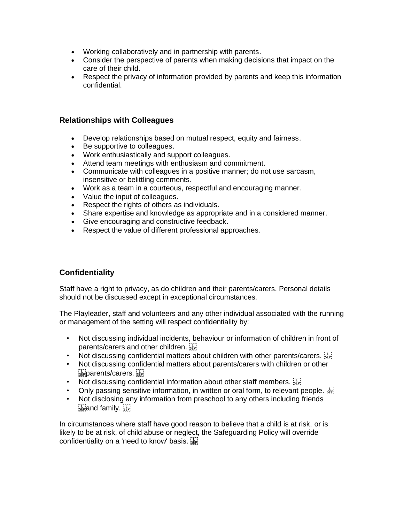- Working collaboratively and in partnership with parents.
- Consider the perspective of parents when making decisions that impact on the care of their child.
- Respect the privacy of information provided by parents and keep this information confidential.

#### **Relationships with Colleagues**

- Develop relationships based on mutual respect, equity and fairness.
- Be supportive to colleagues.
- Work enthusiastically and support colleagues.
- Attend team meetings with enthusiasm and commitment.
- Communicate with colleagues in a positive manner; do not use sarcasm, insensitive or belittling comments.
- Work as a team in a courteous, respectful and encouraging manner.
- Value the input of colleagues.
- Respect the rights of others as individuals.
- Share expertise and knowledge as appropriate and in a considered manner.
- Give encouraging and constructive feedback.
- Respect the value of different professional approaches.

#### **Confidentiality**

Staff have a right to privacy, as do children and their parents/carers. Personal details should not be discussed except in exceptional circumstances.

The Playleader, staff and volunteers and any other individual associated with the running or management of the setting will respect confidentiality by:

- Not discussing individual incidents, behaviour or information of children in front of parents/carers and other children.
- Not discussing confidential matters about children with other parents/carers.
- Not discussing confidential matters about parents/carers with children or other  $\sum_{s \in P} p$ arents/carers.  $\sum_{s \in P} p$
- Not discussing confidential information about other staff members.
- Only passing sensitive information, in written or oral form, to relevant people.  $\frac{1}{3}$
- Not disclosing any information from preschool to any others including friends  $s_{\text{EP}}$  and family.  $s_{\text{EP}}$

In circumstances where staff have good reason to believe that a child is at risk, or is likely to be at risk, of child abuse or neglect, the Safeguarding Policy will override confidentiality on a 'need to know' basis.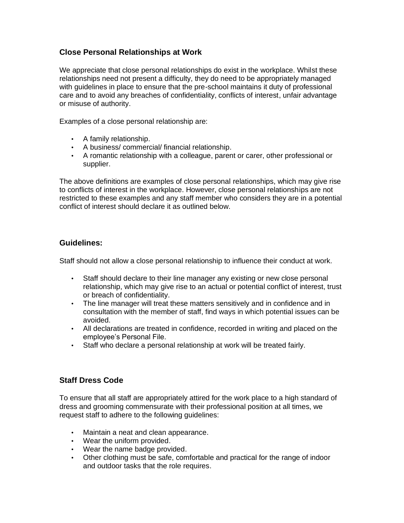#### **Close Personal Relationships at Work**

We appreciate that close personal relationships do exist in the workplace. Whilst these relationships need not present a difficulty, they do need to be appropriately managed with guidelines in place to ensure that the pre-school maintains it duty of professional care and to avoid any breaches of confidentiality, conflicts of interest, unfair advantage or misuse of authority.

Examples of a close personal relationship are:

- A family relationship.
- A business/ commercial/ financial relationship.
- A romantic relationship with a colleague, parent or carer, other professional or supplier.

The above definitions are examples of close personal relationships, which may give rise to conflicts of interest in the workplace. However, close personal relationships are not restricted to these examples and any staff member who considers they are in a potential conflict of interest should declare it as outlined below.

#### **Guidelines:**

Staff should not allow a close personal relationship to influence their conduct at work.

- Staff should declare to their line manager any existing or new close personal relationship, which may give rise to an actual or potential conflict of interest, trust or breach of confidentiality.
- The line manager will treat these matters sensitively and in confidence and in consultation with the member of staff, find ways in which potential issues can be avoided.
- All declarations are treated in confidence, recorded in writing and placed on the employee's Personal File.
- Staff who declare a personal relationship at work will be treated fairly.

#### **Staff Dress Code**

To ensure that all staff are appropriately attired for the work place to a high standard of dress and grooming commensurate with their professional position at all times, we request staff to adhere to the following guidelines:

- Maintain a neat and clean appearance.
- Wear the uniform provided.
- Wear the name badge provided.
- Other clothing must be safe, comfortable and practical for the range of indoor and outdoor tasks that the role requires.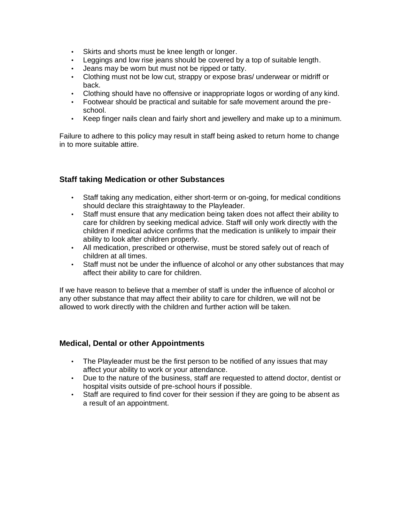- Skirts and shorts must be knee length or longer.
- Leggings and low rise jeans should be covered by a top of suitable length.
- Jeans may be worn but must not be ripped or tatty.
- Clothing must not be low cut, strappy or expose bras/ underwear or midriff or back.
- Clothing should have no offensive or inappropriate logos or wording of any kind.
- Footwear should be practical and suitable for safe movement around the preschool.
- Keep finger nails clean and fairly short and jewellery and make up to a minimum.

Failure to adhere to this policy may result in staff being asked to return home to change in to more suitable attire.

#### **Staff taking Medication or other Substances**

- Staff taking any medication, either short-term or on-going, for medical conditions should declare this straightaway to the Playleader.
- Staff must ensure that any medication being taken does not affect their ability to care for children by seeking medical advice. Staff will only work directly with the children if medical advice confirms that the medication is unlikely to impair their ability to look after children properly.
- All medication, prescribed or otherwise, must be stored safely out of reach of children at all times.
- Staff must not be under the influence of alcohol or any other substances that may affect their ability to care for children.

If we have reason to believe that a member of staff is under the influence of alcohol or any other substance that may affect their ability to care for children, we will not be allowed to work directly with the children and further action will be taken.

#### **Medical, Dental or other Appointments**

- The Playleader must be the first person to be notified of any issues that may affect your ability to work or your attendance.
- Due to the nature of the business, staff are requested to attend doctor, dentist or hospital visits outside of pre-school hours if possible.
- Staff are required to find cover for their session if they are going to be absent as a result of an appointment.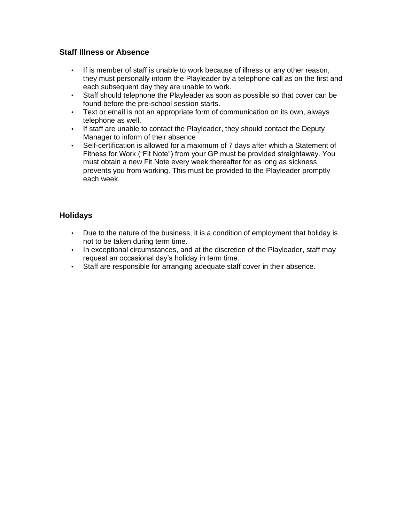#### **Staff Illness or Absence**

- If is member of staff is unable to work because of illness or any other reason, they must personally inform the Playleader by a telephone call as on the first and each subsequent day they are unable to work.
- Staff should telephone the Playleader as soon as possible so that cover can be found before the pre-school session starts.
- Text or email is not an appropriate form of communication on its own, always telephone as well.
- If staff are unable to contact the Playleader, they should contact the Deputy Manager to inform of their absence
- Self-certification is allowed for a maximum of 7 days after which a Statement of Fitness for Work ("Fit Note") from your GP must be provided straightaway. You must obtain a new Fit Note every week thereafter for as long as sickness prevents you from working. This must be provided to the Playleader promptly each week.

### **Holidays**

- Due to the nature of the business, it is a condition of employment that holiday is not to be taken during term time.
- In exceptional circumstances, and at the discretion of the Playleader, staff may request an occasional day's holiday in term time.
- Staff are responsible for arranging adequate staff cover in their absence.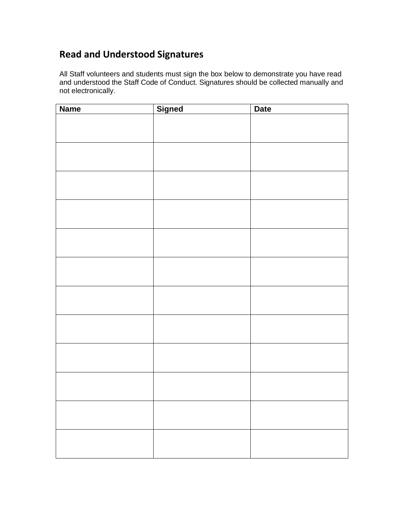## **Read and Understood Signatures**

All Staff volunteers and students must sign the box below to demonstrate you have read and understood the Staff Code of Conduct. Signatures should be collected manually and not electronically.

| <b>Name</b> | <b>Signed</b> | <b>Date</b> |
|-------------|---------------|-------------|
|             |               |             |
|             |               |             |
|             |               |             |
|             |               |             |
|             |               |             |
|             |               |             |
|             |               |             |
|             |               |             |
|             |               |             |
|             |               |             |
|             |               |             |
|             |               |             |
|             |               |             |
|             |               |             |
|             |               |             |
|             |               |             |
|             |               |             |
|             |               |             |
|             |               |             |
|             |               |             |
|             |               |             |
|             |               |             |
|             |               |             |
|             |               |             |
|             |               |             |
|             |               |             |
|             |               |             |
|             |               |             |
|             |               |             |
|             |               |             |
|             |               |             |